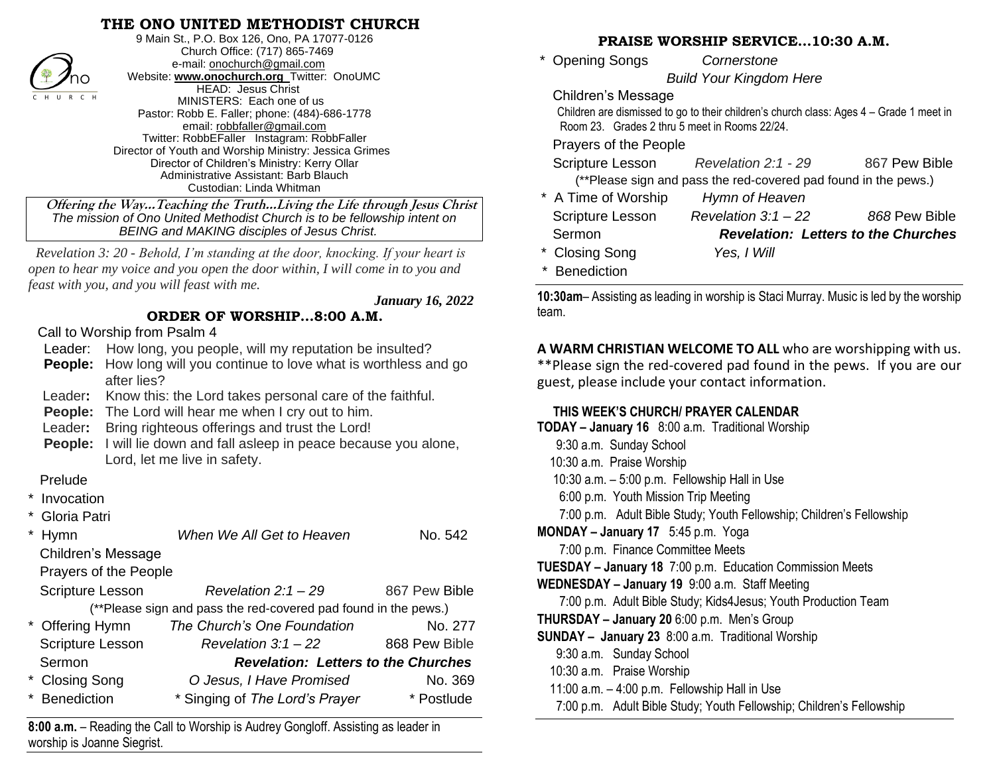# **THE ONO UNITED METHODIST CHURCH**



9 Main St., P.O. Box 126, Ono, PA 17077-0126 Church Office: (717) 865-7469 e-mail[: onochurch@gmail.com](mailto:onochurch@gmail.com) Website: **[www.onochurch.org](http://www.onochurch.org/)** Twitter: OnoUMC HEAD: Jesus Christ MINISTERS: Each one of us Pastor: Robb E. Faller; phone: (484)-686-1778 email: [robbfaller@gmail.com](mailto:robbfaller@gmail.com) Twitter: RobbEFaller Instagram: RobbFaller Director of Youth and Worship Ministry: Jessica Grimes Director of Children's Ministry: Kerry Ollar Administrative Assistant: Barb Blauch Custodian: Linda Whitman

 **Offering the Way…Teaching the Truth…Living the Life through Jesus Christ** *The mission of Ono United Methodist Church is to be fellowship intent on BEING and MAKING disciples of Jesus Christ.* 

*Revelation 3: 20 - Behold, I'm standing at the door, knocking. If your heart is open to hear my voice and you open the door within, I will come in to you and feast with you, and you will feast with me.*

 *January 16, 2022* 

# **ORDER OF WORSHIP…8:00 A.M.**

Call to Worship from Psalm 4

Leader: How long, you people, will my reputation be insulted?

- **People:** How long will you continue to love what is worthless and go after lies?
- Leader**:** Know this: the Lord takes personal care of the faithful.

**People:** The Lord will hear me when I cry out to him.

Leader**:** Bring righteous offerings and trust the Lord!

 **People:** I will lie down and fall asleep in peace because you alone, Lord, let me live in safety.

#### Prelude

- **Invocation**
- Gloria Patri

| <b>Hymn</b>                                                     | When We All Get to Heaven                  | No. 542       |
|-----------------------------------------------------------------|--------------------------------------------|---------------|
| <b>Children's Message</b>                                       |                                            |               |
| Prayers of the People                                           |                                            |               |
| <b>Scripture Lesson</b>                                         | Revelation $2:1-29$                        | 867 Pew Bible |
| (**Please sign and pass the red-covered pad found in the pews.) |                                            |               |
| * Offering Hymn                                                 | The Church's One Foundation                | No. 277       |
| <b>Scripture Lesson</b>                                         | Revelation $3:1-22$                        | 868 Pew Bible |
| Sermon                                                          | <b>Revelation: Letters to the Churches</b> |               |
| <b>Closing Song</b>                                             | O Jesus, I Have Promised                   | No. 369       |
| <b>Benediction</b>                                              | * Singing of The Lord's Prayer             | * Postlude    |
|                                                                 |                                            |               |

**8:00 a.m.** – Reading the Call to Worship is Audrey Gongloff. Assisting as leader in worship is Joanne Siegrist.

#### **PRAISE WORSHIP SERVICE…10:30 A.M.**

 \* Opening Songs *Cornerstone Build Your Kingdom Here*  Children's Message

 Children are dismissed to go to their children's church class: Ages 4 – Grade 1 meet in Room 23. Grades 2 thru 5 meet in Rooms 22/24.

#### Prayers of the People

|                     | Scripture Lesson Revelation 2:1 - 29                            | 867 Pew Bible                              |
|---------------------|-----------------------------------------------------------------|--------------------------------------------|
|                     | (**Please sign and pass the red-covered pad found in the pews.) |                                            |
| * A Time of Worship | Hymn of Heaven                                                  |                                            |
| Scripture Lesson    | Revelation $3:1-22$                                             | 868 Pew Bible                              |
| Sermon              |                                                                 | <b>Revelation: Letters to the Churches</b> |
| * Closing Song      | Yes, I Will                                                     |                                            |
| * Benediction       |                                                                 |                                            |

**10:30am**– Assisting as leading in worship is Staci Murray. Music is led by the worship team.

**A WARM CHRISTIAN WELCOME TO ALL** who are worshipping with us. \*\*Please sign the red-covered pad found in the pews. If you are our guest, please include your contact information.

### **THIS WEEK'S CHURCH/ PRAYER CALENDAR**

| TODAY - January 16 8:00 a.m. Traditional Worship                     |  |  |  |  |
|----------------------------------------------------------------------|--|--|--|--|
| 9:30 a.m. Sunday School                                              |  |  |  |  |
| 10:30 a.m. Praise Worship                                            |  |  |  |  |
| 10:30 a.m. - 5:00 p.m. Fellowship Hall in Use                        |  |  |  |  |
| 6:00 p.m. Youth Mission Trip Meeting                                 |  |  |  |  |
| 7:00 p.m. Adult Bible Study; Youth Fellowship; Children's Fellowship |  |  |  |  |
| MONDAY - January 17 5:45 p.m. Yoga                                   |  |  |  |  |
| 7:00 p.m. Finance Committee Meets                                    |  |  |  |  |
| <b>TUESDAY - January 18</b> 7:00 p.m. Education Commission Meets     |  |  |  |  |
| WEDNESDAY - January 19 9:00 a.m. Staff Meeting                       |  |  |  |  |
| 7:00 p.m. Adult Bible Study; Kids4Jesus; Youth Production Team       |  |  |  |  |
| <b>THURSDAY - January 20</b> 6:00 p.m. Men's Group                   |  |  |  |  |
| <b>SUNDAY</b> - January 23 8:00 a.m. Traditional Worship             |  |  |  |  |
| 9:30 a.m. Sunday School                                              |  |  |  |  |
| 10:30 a.m. Praise Worship                                            |  |  |  |  |
| 11:00 $a.m. - 4:00 p.m.$ Fellowship Hall in Use                      |  |  |  |  |
| 7:00 p.m. Adult Bible Study; Youth Fellowship; Children's Fellowship |  |  |  |  |
|                                                                      |  |  |  |  |